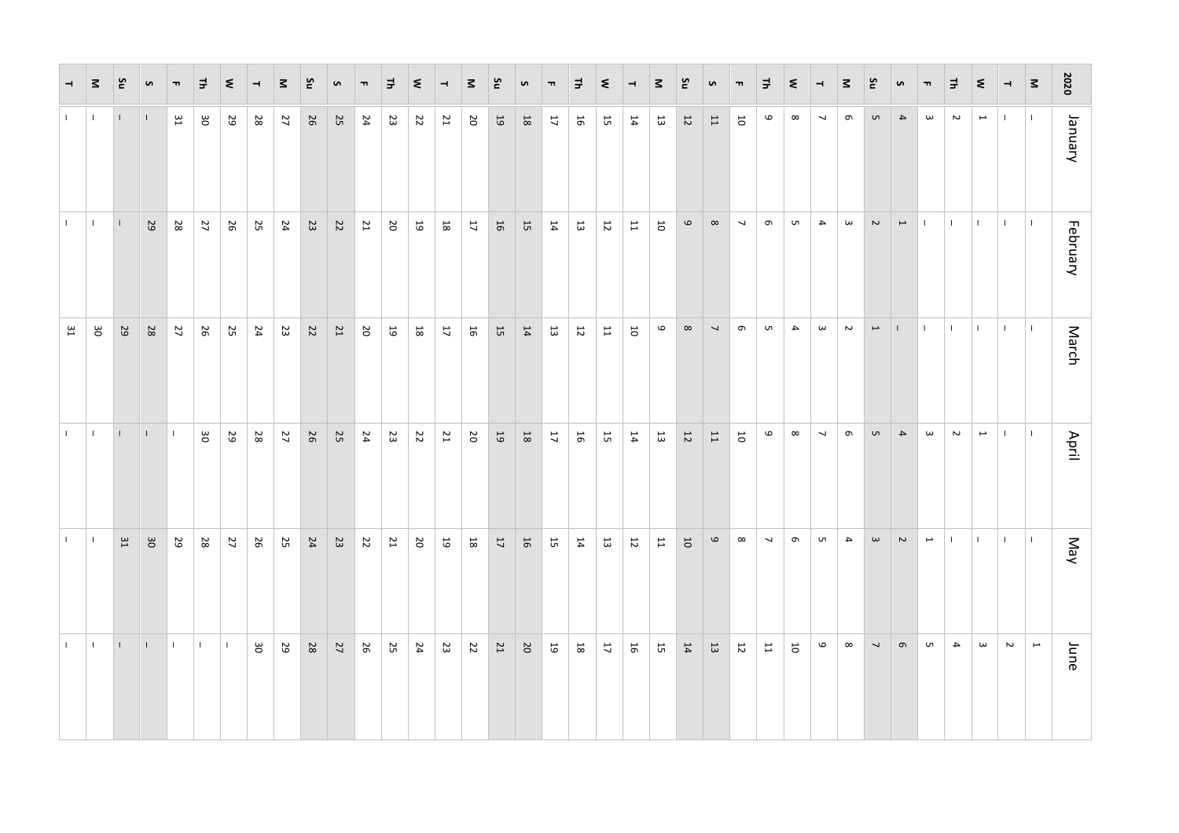| $\overline{\phantom{0}}$ | 3                        | čν           | S            | $\blacksquare$ | ᆗ            | $\leq$       | $\overline{\phantom{a}}$ | $\leq$ | ξ      | $\bullet$ | $\blacksquare$ | ᆗ  | $\leq$                 | $\overline{\phantom{a}}$   | $\leq$                     | čΣ         | S              | $\blacksquare$ | ᆗ              | $\leq$         | $\overline{\phantom{a}}$ | $\leq$                  | ρū                      | S                        | $\blacksquare$           | $\exists$                | $\leq$                  | $\overline{\phantom{a}}$ | ∣3                    | č                        | $\pmb{\circ}$            | $\blacksquare$        | $\Rightarrow$    | $\leq$                   | $\overline{\phantom{0}}$ | $\leq$       | 2020     |
|--------------------------|--------------------------|--------------|--------------|----------------|--------------|--------------|--------------------------|--------|--------|-----------|----------------|----|------------------------|----------------------------|----------------------------|------------|----------------|----------------|----------------|----------------|--------------------------|-------------------------|-------------------------|--------------------------|--------------------------|--------------------------|-------------------------|--------------------------|-----------------------|--------------------------|--------------------------|-----------------------|------------------|--------------------------|--------------------------|--------------|----------|
| $\mathbf{L}$             | $\overline{\phantom{a}}$ | $\mathbf{I}$ |              | 31             | 30           | 29           | 28                       | 27     | 26     | 25        | 24             | 23 | 22                     | 21                         | 20                         | $\sqrt{9}$ | $18\,$         | 17             | 16             | 57             | 14                       | 13                      | $12\,$                  | $11\,$                   | $\overline{\mathbf{c}}$  | 6                        | $\infty$                | $\overline{ }$           | $\sigma$              | G                        | $\blacktriangle$         | $\boldsymbol{\omega}$ | $\sim$           | $\mapsto$                | $\mathbf{L}$             | $\mathbf{L}$ | January  |
| $\mathbf{L}$             | H.                       | $\perp$      | 29           | 28             | 77           | 56           | 25                       | 24     | 23     | 22        | 21             | 20 | 19                     | $\mathsf{18}$              | $\mathcal{L}^{\mathbf{r}}$ | 16         | $\frac{1}{5}$  | $\mathbf{14}$  | $\frac{13}{3}$ | 12             | $\mathbf{1}$             | $\overline{\mathsf{o}}$ | $\mathbf{\Theta}$       | $\infty$                 | $\overline{\phantom{a}}$ | $\sigma$                 | <b>u</b>                | $\overline{4}$           | $\boldsymbol{\omega}$ | $\sim$                   | $\overline{\phantom{m}}$ | $\pm 1$               | $\mathbf{L}$     | $\mathbf{L}$             | $\mathbf{L}$             | H.           | February |
| 31                       | gσ                       | 29           | 28           | 27             | 26           | 25           | 24                       | 23     | 22     | 21        | 20             | 5  | $\mathsf{g}\mathsf{g}$ | $\mathcal{L}^{\mathbf{r}}$ | $\overline{5}$             | $15\,$     | $\mathbf{14}$  | $\frac{1}{3}$  | $\overline{5}$ | $11$           | $\rm 5$                  | 6                       | $\infty$                | $\overline{\phantom{0}}$ | $\sigma$                 | S.                       | $\overline{\mathbf{4}}$ | $\boldsymbol{\omega}$    | $\sim$                | $\overline{\phantom{a}}$ | $\mathbf{I}$             | $\mathbb{L}$          | $\mathbb T$      | $\mathbf{I}$             | $\mathbf{L}$             | $\mathbf{L}$ | March    |
| $\mathbf{L}$             | $\overline{\phantom{a}}$ | $\top$       | $\mathbf{I}$ | $\mathbf{I}$   | 30           | 29           | 28                       | 27     | 56     | <b>25</b> | 24             | 23 | 22                     | 21                         | 20                         | $\sqrt{9}$ | $18\,$         | $\mathbf{17}$  | 16             | 57             | $\mathbf{14}$            | $\Xi$                   | $12\,$                  | $11\,$                   | $\overline{\mathsf{o}}$  | 6                        | $\infty$                | $\overline{\phantom{0}}$ | $\sigma$              | G                        | $\blacktriangle$         | $\boldsymbol{\omega}$ | $\mathbf{z}$     | $\overline{\phantom{a}}$ | $\mathbf{I}$             | H.           | April    |
| $\Gamma$ .               | $\overline{\phantom{a}}$ | 52           | 30           | 29             | 28           | 77           | 56                       | 25     | 24     | 23        | 22             | 21 | 20                     | $6\,\rm{I}$                | $18\,$                     | 17         | 16             | 57             | 14             | 13             | $\overline{\rm 2}$       | $\overline{\mathbf{L}}$ | $\overline{\mathbf{C}}$ | $\mathbf \omega$         | $\infty$                 | $\overline{\phantom{a}}$ | $\sigma$                | G                        | $\overline{4}$        | $\boldsymbol{\omega}$    | $\sim$                   | $\mapsto$             | $\mathbf{I}$     | $\mathbf{I}$             | $\mathbf{L}$             | $\mathbf{L}$ | May      |
| $\mathbf{L}$             | $\overline{\phantom{a}}$ | $\perp$      | $\mathbf{I}$ | $\mathbb{L}$   | $\mathbf{I}$ | $\mathbf{I}$ | gΟ                       | 29     | $28\,$ | 27        | 26             | 25 | 24                     | 23                         | 22                         | 21         | $\mathfrak{S}$ | $\mathfrak{g}$ | 18             | $\mathfrak{t}$ | 16                       | 15                      | $14\,$                  | $13\,$                   | $\overline{\mathbf{c}}$  | 11                       | 5                       | $\mathbf{\sigma}$        | $\infty$              | $\overline{\phantom{a}}$ | $\sigma$                 | G                     | $\blacktriangle$ | $\boldsymbol{\omega}$    | $\sim$                   | $\mapsto$    | June     |